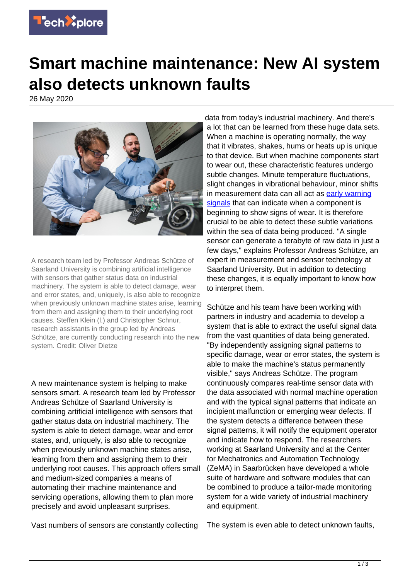

## **Smart machine maintenance: New AI system also detects unknown faults**

26 May 2020



A research team led by Professor Andreas Schütze of Saarland University is combining artificial intelligence with sensors that gather status data on industrial machinery. The system is able to detect damage, wear and error states, and, uniquely, is also able to recognize when previously unknown machine states arise, learning from them and assigning them to their underlying root causes. Steffen Klein (l.) and Christopher Schnur, research assistants in the group led by Andreas Schütze, are currently conducting research into the new system. Credit: Oliver Dietze

A new maintenance system is helping to make sensors smart. A research team led by Professor Andreas Schütze of Saarland University is combining artificial intelligence with sensors that gather status data on industrial machinery. The system is able to detect damage, wear and error states, and, uniquely, is also able to recognize when previously unknown machine states arise, learning from them and assigning them to their underlying root causes. This approach offers small and medium-sized companies a means of automating their machine maintenance and servicing operations, allowing them to plan more precisely and avoid unpleasant surprises.

Vast numbers of sensors are constantly collecting

data from today's industrial machinery. And there's a lot that can be learned from these huge data sets. When a machine is operating normally, the way that it vibrates, shakes, hums or heats up is unique to that device. But when machine components start to wear out, these characteristic features undergo subtle changes. Minute temperature fluctuations, slight changes in vibrational behaviour, minor shifts in measurement data can all act as [early warning](https://techxplore.com/tags/early+warning+signals/) [signals](https://techxplore.com/tags/early+warning+signals/) that can indicate when a component is beginning to show signs of wear. It is therefore crucial to be able to detect these subtle variations within the sea of data being produced. "A single sensor can generate a terabyte of raw data in just a few days," explains Professor Andreas Schütze, an expert in measurement and sensor technology at Saarland University. But in addition to detecting these changes, it is equally important to know how to interpret them.

Schütze and his team have been working with partners in industry and academia to develop a system that is able to extract the useful signal data from the vast quantities of data being generated. "By independently assigning signal patterns to specific damage, wear or error states, the system is able to make the machine's status permanently visible," says Andreas Schütze. The program continuously compares real-time sensor data with the data associated with normal machine operation and with the typical signal patterns that indicate an incipient malfunction or emerging wear defects. If the system detects a difference between these signal patterns, it will notify the equipment operator and indicate how to respond. The researchers working at Saarland University and at the Center for Mechatronics and Automation Technology (ZeMA) in Saarbrücken have developed a whole suite of hardware and software modules that can be combined to produce a tailor-made monitoring system for a wide variety of industrial machinery and equipment.

The system is even able to detect unknown faults,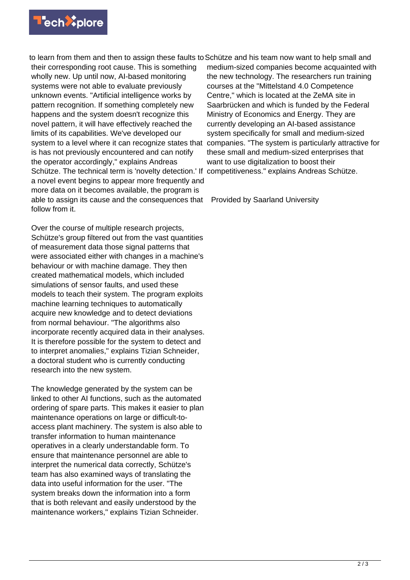

to learn from them and then to assign these faults to Schütze and his team now want to help small and their corresponding root cause. This is something wholly new. Up until now, AI-based monitoring systems were not able to evaluate previously unknown events. "Artificial intelligence works by pattern recognition. If something completely new happens and the system doesn't recognize this novel pattern, it will have effectively reached the limits of its capabilities. We've developed our is has not previously encountered and can notify the operator accordingly," explains Andreas Schütze. The technical term is 'novelty detection.' If competitiveness." explains Andreas Schütze. a novel event begins to appear more frequently and more data on it becomes available, the program is able to assign its cause and the consequences that Provided by Saarland University follow from it.

Over the course of multiple research projects, Schütze's group filtered out from the vast quantities of measurement data those signal patterns that were associated either with changes in a machine's behaviour or with machine damage. They then created mathematical models, which included simulations of sensor faults, and used these models to teach their system. The program exploits machine learning techniques to automatically acquire new knowledge and to detect deviations from normal behaviour. "The algorithms also incorporate recently acquired data in their analyses. It is therefore possible for the system to detect and to interpret anomalies," explains Tizian Schneider, a doctoral student who is currently conducting research into the new system.

The knowledge generated by the system can be linked to other AI functions, such as the automated ordering of spare parts. This makes it easier to plan maintenance operations on large or difficult-toaccess plant machinery. The system is also able to transfer information to human maintenance operatives in a clearly understandable form. To ensure that maintenance personnel are able to interpret the numerical data correctly, Schütze's team has also examined ways of translating the data into useful information for the user. "The system breaks down the information into a form that is both relevant and easily understood by the maintenance workers," explains Tizian Schneider.

system to a level where it can recognize states that companies. "The system is particularly attractive for medium-sized companies become acquainted with the new technology. The researchers run training courses at the "Mittelstand 4.0 Competence Centre," which is located at the ZeMA site in Saarbrücken and which is funded by the Federal Ministry of Economics and Energy. They are currently developing an AI-based assistance system specifically for small and medium-sized these small and medium-sized enterprises that want to use digitalization to boost their